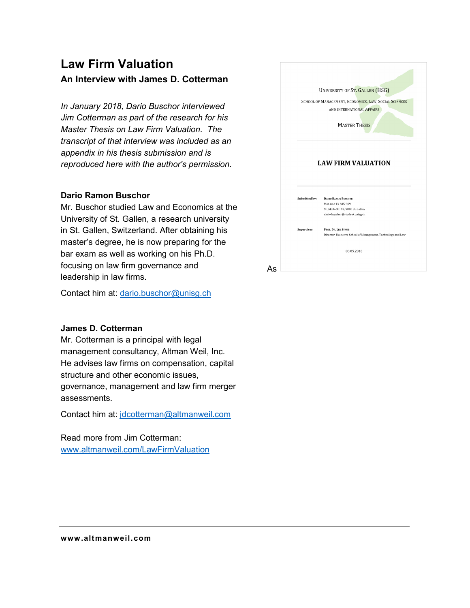### **Law Firm Valuation An Interview with James D. Cotterman**

*In January 2018, Dario Buschor interviewed Jim Cotterman as part of the research for his Master Thesis on Law Firm Valuation. The transcript of that interview was included as an appendix in his thesis submission and is reproduced here with the author's permission.* 

#### **Dario Ramon Buschor**

Mr. Buschor studied Law and Economics at the University of St. Gallen, a research university in St. Gallen, Switzerland. After obtaining his master's degree, he is now preparing for the bar exam as well as working on his Ph.D. focusing on law firm governance and leadership in law firms.

Contact him at: dario.buschor@unisg.ch

#### **James D. Cotterman**

Mr. Cotterman is a principal with legal management consultancy, Altman Weil, Inc. He advises law firms on compensation, capital structure and other economic issues, governance, management and law firm merger assessments.

Contact him at: jdcotterman@altmanweil.com

Read more from Jim Cotterman: www.altmanweil.com/LawFirmValuation

|               | UNIVERSITY OF ST. GALLEN (HSG)                                                                                             |
|---------------|----------------------------------------------------------------------------------------------------------------------------|
|               | SCHOOL OF MANAGEMENT, ECONOMICS, LAW, SOCIAL SCIENCES                                                                      |
|               | AND INTERNATIONAL AFFAIRS                                                                                                  |
|               |                                                                                                                            |
|               | <b>MASTER THESIS</b>                                                                                                       |
|               | <b>LAW FIRM VALUATION</b>                                                                                                  |
| Submitted by: | <b>DARIO RAMON BUSCHOR</b><br>Mat. no.: 13-605-969<br>St. Jakob-Str. 93, 9000 St. Gallen<br>dario.buschor@student.unisg.ch |
|               | PROF. DR. LEO STAUB                                                                                                        |
| Supervisor:   | Director, Executive School of Management, Technology and Law                                                               |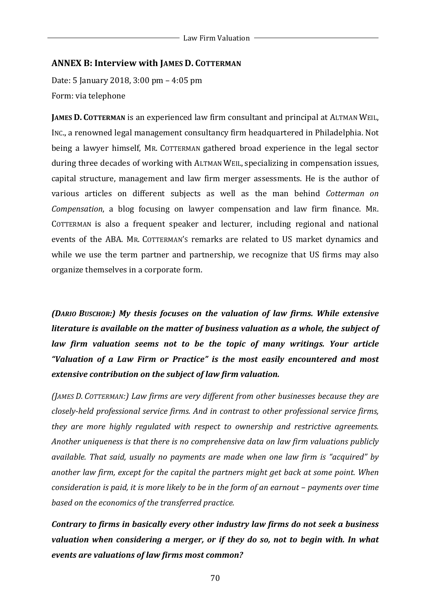#### **ANNEX B: Interview with JAMES D. COTTERMAN**

Date: 5 January 2018, 3:00 pm - 4:05 pm Form: via telephone

**JAMES D. COTTERMAN** is an experienced law firm consultant and principal at ALTMAN WEIL. INC., a renowned legal management consultancy firm headquartered in Philadelphia. Not being a lawyer himself, MR. COTTERMAN gathered broad experience in the legal sector during three decades of working with ALTMAN WEIL, specializing in compensation issues, capital structure, management and law firm merger assessments. He is the author of various articles on different subjects as well as the man behind *Cotterman on Compensation*, a blog focusing on lawyer compensation and law firm finance. MR. COTTERMAN is also a frequent speaker and lecturer, including regional and national events of the ABA. MR. COTTERMAN's remarks are related to US market dynamics and while we use the term partner and partnership, we recognize that US firms may also organize themselves in a corporate form.

*(DARIO BUSCHOR:) My thesis focuses on the valuation of law firms. While extensive literature is available on the matter of business valuation as a whole, the subject of law* firm valuation seems not to be the topic of many writings. Your article *"Valuation of a Law Firm or Practice" is the most easily encountered and most extensive contribution on the subject of law firm valuation.* 

*(JAMES D. COTTERMAN:) Law firms are very different from other businesses because they are closely-held professional service firms. And in contrast to other professional service firms, they are more highly regulated with respect to ownership and restrictive agreements. Another uniqueness is that there is no comprehensive data on law firm valuations publicly available. That said, usually no payments are made when one law firm is "acquired" by* another law firm, except for the capital the partners might get back at some point. When *consideration is paid, it is more likely to be in the form of an earnout – payments over time* based on the economics of the transferred practice.

*Contrary to firms in basically every other industry law firms do not seek a business* valuation when considering a merger, or if they do so, not to begin with. In what *events are valuations of law firms most common?*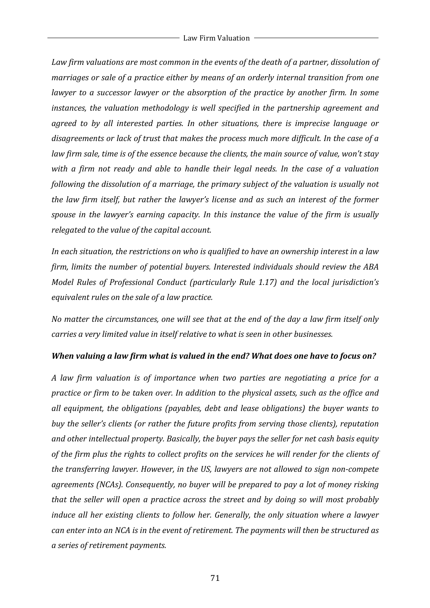Law firm valuations are most common in the events of the death of a partner, dissolution of *marriages or sale of a practice either by means of an orderly internal transition from one lawyer* to a successor *lawyer* or the absorption of the practice by another firm. In some *instances, the valuation methodology is well specified in the partnership agreement and agreed to by all interested parties. In other situations, there is imprecise language or* disagreements or lack of trust that makes the process much more difficult. In the case of a *law firm sale, time is of the essence because the clients, the main source of value, won't stay with* a firm not ready and able to handle their legal needs. In the case of a valuation *following the dissolution of a marriage, the primary subject of the valuation is usually not the law firm itself, but rather the lawyer's license and as such an interest of the former spouse in the lawyer's earning capacity. In this instance the value of the firm is usually relegated to the value of the capital account.* 

In each situation, the restrictions on who is qualified to have an ownership interest in a law *firm, limits the number of potential buyers. Interested individuals should review the ABA Model Rules of Professional Conduct (particularly Rule 1.17) and the local jurisdiction's equivalent rules on the sale of a law practice.* 

*No* matter the circumstances, one will see that at the end of the day a law firm itself only *carries a very limited value in itself relative to what is seen in other businesses.* 

#### *When valuing a law firm what is valued in the end? What does one have to focus on?*

*A* law firm valuation is of importance when two parties are negotiating a price for a *practice* or firm to be taken over. In addition to the physical assets, such as the office and all equipment, the obligations (payables, debt and lease obligations) the buyer wants to *buy* the seller's clients (or rather the future profits from serving those clients), reputation and other intellectual property. Basically, the buyer pays the seller for net cash basis equity of the firm plus the rights to collect profits on the services he will render for the clients of *the transferring lawyer. However, in the US, lawyers are not allowed to sign non-compete agreements* (NCAs). Consequently, no buyer will be prepared to pay a lot of money risking *that the seller will open a practice across the street and by doing so will most probably induce* all her existing clients to follow her. Generally, the only situation where a lawyer *can enter into an NCA is in the event of retirement. The payments will then be structured as a series of retirement payments.*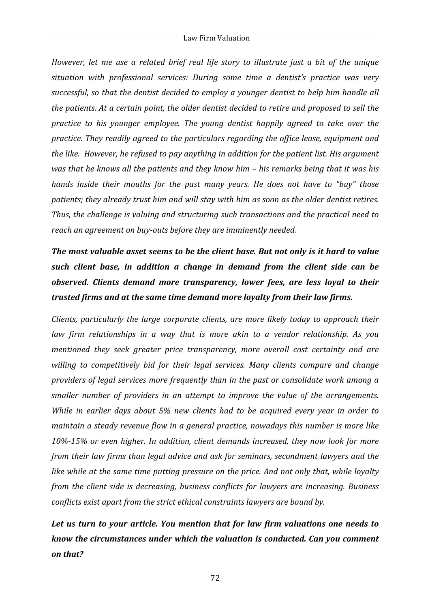*However, let me use a related brief real life story to illustrate just a bit of the unique* situation with professional services: During some time a dentist's practice was very successful, so that the dentist decided to employ a younger dentist to help him handle all *the patients.* At a certain point, the older dentist decided to retire and proposed to sell the *practice to his younger employee. The young dentist happily agreed to take over the practice. They readily agreed to the particulars regarding the office lease, equipment and the like. However, he refused to pay anything in addition for the patient list. His argument was* that he knows all the patients and they know him – his remarks being that it was his *hands inside their mouths for the past many years. He does not have to "buy" those* patients; they already trust him and will stay with him as soon as the older dentist retires. Thus, the challenge is valuing and structuring such transactions and the practical need to reach an agreement on buy-outs before they are *imminently needed*.

# The most valuable asset seems to be the client base. But not only is it hard to value *such client base, in addition a change in demand from the client side can be observed.* Clients demand more transparency, lower fees, are less loyal to their *trusted firms and at the same time demand more loyalty from their law firms.*

*Clients, particularly the large corporate clients, are more likely today to approach their law* firm relationships in a way that is more akin to a vendor relationship. As you *mentioned they seek greater price transparency, more overall cost certainty and are* willing to competitively bid for their legal services. Many clients compare and change *providers of legal services more frequently than in the past or consolidate work among a smaller number of providers in an attempt to improve the value of the arrangements. While in earlier days about* 5% new clients had to be acquired every year in order to *maintain a steady revenue flow in a general practice, nowadays this number is more like* 10%-15% or even higher. In addition, client demands increased, they now look for more *from their law firms than legal advice and ask for seminars, secondment lawyers and the like* while at the same time putting pressure on the price. And not only that, while loyalty *from the client side is decreasing, business conflicts for lawyers are increasing. Business conflicts exist apart from the strict ethical constraints lawyers are bound by.* 

## Let us turn to your article. You mention that for law firm valuations one needs to *know the circumstances under which the valuation is conducted. Can you comment on that?*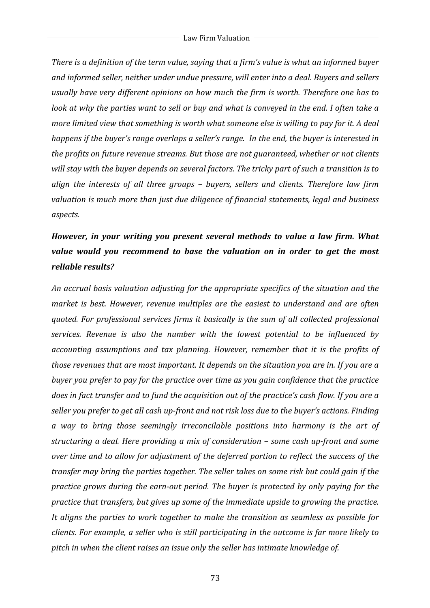*There* is a definition of the term value, saying that a firm's value is what an informed buyer and informed seller, neither under undue pressure, will enter into a deal. Buyers and sellers usually have very different opinions on how much the firm is worth. Therefore one has to *look at why the parties want to sell or buy and what is conveyed in the end. I often take a more limited view that something is worth what someone else is willing to pay for it. A deal happens if the buyer's range overlaps a seller's range. In the end, the buyer is interested in the profits on future revenue streams. But those are not guaranteed, whether or not clients* will stay with the buyer depends on several factors. The tricky part of such a transition is to align the interests of all three groups – buyers, sellers and clients. Therefore law firm valuation is much more than just due diligence of financial statements, legal and business *aspects.* 

### *However, in your writing you present several methods to value a law firm. What* value would you recommend to base the valuation on in order to get the most *reliable results?*

An accrual basis valuation adjusting for the appropriate specifics of the situation and the *market is best. However, revenue multiples are the easiest to understand and are often quoted.* For professional services firms it basically is the sum of all collected professional *services.* Revenue is also the number with the lowest potential to be influenced by *accounting assumptions and tax planning. However, remember that it is the profits of those revenues that are most important. It depends on the situation you are in. If you are a buyer* you prefer to pay for the practice over time as you gain confidence that the practice *does* in fact transfer and to fund the acquisition out of the practice's cash flow. If you are a seller you prefer to get all cash up-front and not risk loss due to the buyer's actions. Finding *a* way to bring those seemingly irreconcilable positions into harmony is the art of *structuring a deal. Here providing a mix of consideration – some cash up-front and some over time and to allow for adjustment of the deferred portion to reflect the success of the transfer may bring the parties together. The seller takes on some risk but could gain if the practice grows during the earn-out period. The buyer is protected by only paying for the practice that transfers, but gives up some of the immediate upside to growing the practice.* It aligns the parties to work together to make the transition as seamless as possible for *clients.* For example, a seller who is still participating in the outcome is far more likely to pitch in when the client raises an issue only the seller has intimate knowledge of.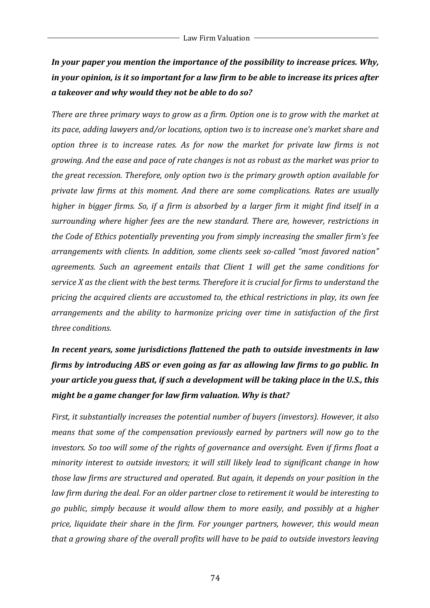## In your paper you mention the importance of the possibility to increase prices. Why, *in* your opinion, is it so important for a law firm to be able to increase its prices after *a takeover and why would they not be able to do so?*

*There are three primary ways to grow as a firm. Option one is to grow with the market at its* pace, adding lawyers and/or locations, option two is to increase one's market share and *option three is to increase rates. As for now the market for private law firms is not growing.* And the ease and pace of rate changes is not as robust as the market was prior to *the great recession. Therefore, only option two is the primary growth option available for private law firms at this moment. And there are some complications. Rates are usually higher* in bigger firms. So, if a firm is absorbed by a larger firm it might find itself in a *surrounding where higher fees are the new standard. There are, however, restrictions in the Code of Ethics potentially preventing you from simply increasing the smaller firm's fee* arrangements with clients. In addition, some clients seek so-called "most favored nation" agreements. Such an agreement entails that Client 1 will get the same conditions for *service X* as the client with the best terms. Therefore it is crucial for firms to understand the *pricing the acquired clients are accustomed to, the ethical restrictions in play, its own fee arrangements and the ability to harmonize pricing over time in satisfaction of the first three conditions.*

# In recent years, some jurisdictions flattened the path to outside investments in law *firms by introducing ABS or even going as far as allowing law firms to go public. In your article you guess that, if such a development will be taking place in the U.S., this might be a game changer for law firm valuation. Why is that?*

*First, it substantially increases the potential number of buyers (investors). However, it also means* that some of the compensation previously earned by partners will now go to the *investors.* So too will some of the rights of governance and oversight. Even if firms float a *minority interest to outside investors; it will still likely lead to significant change in how those law firms are structured and operated. But again, it depends on your position in the law* firm during the deal. For an older partner close to retirement it would be interesting to *go* public, simply because it would allow them to more easily, and possibly at a higher *price, liquidate their share in the firm. For younger partners, however, this would mean that a growing share of the overall profits will have to be paid to outside investors leaving*